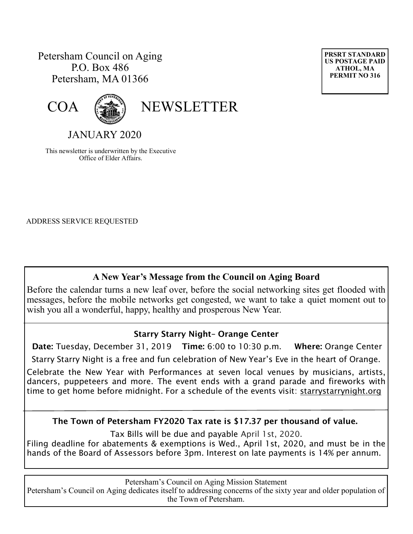## Petersham Council on Aging P.O. Box 486 Petersham, MA 01366



COA (

JANUARY 2020

This newsletter is underwritten by the Executive Office of Elder Affairs.

ADDRESS SERVICE REQUESTED

## **A New Year's Message from the Council on Aging Board**

Before the calendar turns a new leaf over, before the social networking sites get flooded with messages, before the mobile networks get congested, we want to take a quiet moment out to wish you all a wonderful, happy, healthy and prosperous New Year.

### **Starry Starry Night– Orange Center**

 **Date:** Tuesday, December 31, 2019 **Time:** 6:00 to 10:30 p.m. **Where:** Orange Center Starry Starry Night is a free and fun celebration of New Year's Eve in the heart of Orange.

Celebrate the New Year with Performances at seven local venues by musicians, artists, dancers, puppeteers and more. The event ends with a grand parade and fireworks with time to get home before midnight. For a schedule of the events visit: starrystarrynight.org

**The Town of Petersham FY2020 Tax rate is \$17.37 per thousand of value.**

Tax Bills will be due and payable April 1st, 2020.

Filing deadline for abatements & exemptions is Wed., April 1st, 2020, and must be in the hands of the Board of Assessors before 3pm. Interest on late payments is 14% per annum.

Petersham's Council on Aging Mission Statement

Petersham's Council on Aging dedicates itself to addressing concerns of the sixty year and older population of the Town of Petersham.

**PRSRT STANDARD US POSTAGE PAID ATHOL, MA PERMIT NO 316**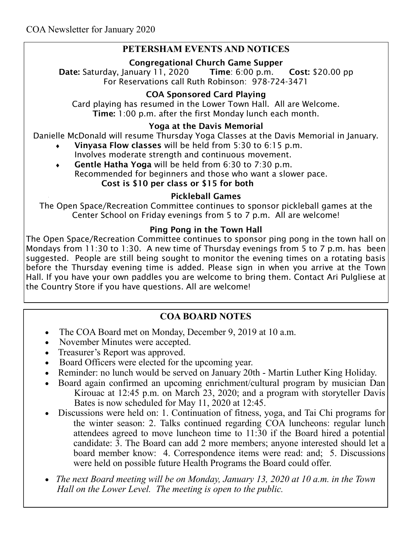### **PETERSHAM EVENTS AND NOTICES**

### **Congregational Church Game Supper**

**Date:** Saturday, January 11, 2020 **Time**: 6:00 p.m. **Cost:** \$20.00 pp For Reservations call Ruth Robinson: 978-724-3471

### **COA Sponsored Card Playing**

Card playing has resumed in the Lower Town Hall. All are Welcome. **Time:** 1:00 p.m. after the first Monday lunch each month.

### **Yoga at the Davis Memorial**

Danielle McDonald will resume Thursday Yoga Classes at the Davis Memorial in January.

- **Vinyasa Flow classes** will be held from 5:30 to 6:15 p.m. Involves moderate strength and continuous movement.
- **Gentle Hatha Yoga** will be held from 6:30 to 7:30 p.m. Recommended for beginners and those who want a slower pace. **Cost is \$10 per class or \$15 for both**

### **Pickleball Games**

The Open Space/Recreation Committee continues to sponsor pickleball games at the Center School on Friday evenings from 5 to 7 p.m. All are welcome!

### **Ping Pong in the Town Hall**

The Open Space/Recreation Committee continues to sponsor ping pong in the town hall on Mondays from 11:30 to 1:30. A new time of Thursday evenings from 5 to 7 p.m. has been suggested. People are still being sought to monitor the evening times on a rotating basis before the Thursday evening time is added. Please sign in when you arrive at the Town Hall. If you have your own paddles you are welcome to bring them. Contact Ari Pulgliese at the Country Store if you have questions. All are welcome!

## **COA BOARD NOTES**

- The COA Board met on Monday, December 9, 2019 at 10 a.m.
- November Minutes were accepted.
- Treasurer's Report was approved.
- Board Officers were elected for the upcoming year.
- Reminder: no lunch would be served on January 20th Martin Luther King Holiday.
- Board again confirmed an upcoming enrichment/cultural program by musician Dan Kirouac at 12:45 p.m. on March 23, 2020; and a program with storyteller Davis Bates is now scheduled for May 11, 2020 at 12:45.
- Discussions were held on: 1. Continuation of fitness, yoga, and Tai Chi programs for the winter season: 2. Talks continued regarding COA luncheons: regular lunch attendees agreed to move luncheon time to 11:30 if the Board hired a potential candidate: 3. The Board can add 2 more members; anyone interested should let a board member know: 4. Correspondence items were read: and; 5. Discussions were held on possible future Health Programs the Board could offer.
- *The next Board meeting will be on Monday, January 13, 2020 at 10 a.m. in the Town Hall on the Lower Level. The meeting is open to the public.*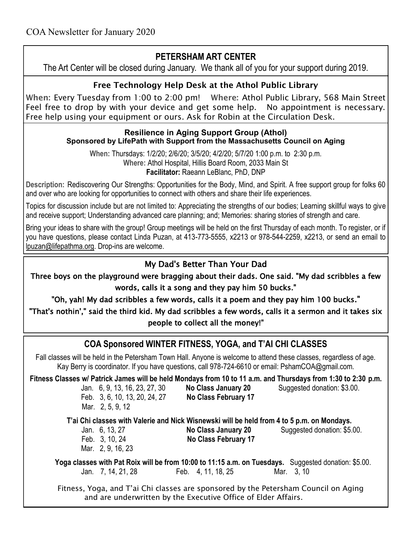# **PETERSHAM ART CENTER**

The Art Center will be closed during January. We thank all of you for your support during 2019.

## **Free Technology Help Desk at the Athol Public Library**

**When:** Every Tuesday from 1:00 to 2:00 pm! **Where:** Athol Public Library, 568 Main Street Feel free to drop by with your device and get some help. No appointment is necessary. Free help using your equipment or ours. Ask for Robin at the Circulation Desk.

#### **Resilience in Aging Support Group (Athol) Sponsored by LifePath with Support from the Massachusetts Council on Aging**

**When:** Thursdays: 1/2/20; 2/6/20; 3/5/20; 4/2/20; 5/7/20 1:00 p.m. to 2:30 p.m. **Where:** Athol Hospital, Hillis Board Room, 2033 Main St **Facilitator:** Raeann LeBlanc, PhD, DNP

**Description:** Rediscovering Our Strengths: Opportunities for the Body, Mind, and Spirit. A free support group for folks 60 and over who are looking for opportunities to connect with others and share their life experiences.

Topics for discussion include but are not limited to: Appreciating the strengths of our bodies; Learning skillful ways to give and receive support; Understanding advanced care planning; and; Memories: sharing stories of strength and care.

Bring your ideas to share with the group! Group meetings will be held on the first Thursday of each month. To register, or if you have questions, please contact Linda Puzan, at 413-773-5555, x2213 or 978-544-2259, x2213, or send an email to [lpuzan@lifepathma.org.](mailto:lpuzan@lifepathma.org) Drop-ins are welcome.

## My Dad's Better Than Your Dad

Three boys on the playground were bragging about their dads. One said. "My dad scribbles a few words, calls it a song and they pay him 50 bucks."

"Oh, yah! My dad scribbles a few words, calls it a poem and they pay him 100 bucks."

"That's nothin'," said the third kid. My dad scribbles a few words, calls it a sermon and it takes six people to collect all the money!"

# **COA Sponsored WINTER FITNESS, YOGA, and T'AI CHI CLASSES**

Fall classes will be held in the Petersham Town Hall. Anyone is welcome to attend these classes, regardless of age. Kay Berry is coordinator. If you have questions, call 978-724-6610 or email: PshamCOA@gmail.com.

|                               |                     | Fitness Classes w/ Patrick James will be held Mondays from 10 to 11 a.m. and Thursdays from 1:30 to 2:30 p.m. |
|-------------------------------|---------------------|---------------------------------------------------------------------------------------------------------------|
| Jan. 6, 9, 13, 16, 23, 27, 30 | No Class January 20 | Suggested donation: \$3.00.                                                                                   |

 Feb. 3, 6, 10, 13, 20, 24, 27 **No Class February 17** Mar. 2, 5, 9, 12

 **T'ai Chi classes with Valerie and Nick Wisnewski will be held from 4 to 5 p.m. on Mondays.**

Mar. 2, 9, 16, 23

Feb. 3, 10, 24 **No Class February 17**

Jan. 6, 13, 27 **No Class January 20** Suggested donation: \$5.00.

**Yoga classes with Pat Roix will be from 10:00 to 11:15 a.m. on Tuesdays.** Suggested donation: \$5.00. Jan. 7, 14, 21, 28 Feb. 4, 11, 18, 25 Mar. 3, 10

 Fitness, Yoga, and T'ai Chi classes are sponsored by the Petersham Council on Aging and are underwritten by the Executive Office of Elder Affairs.